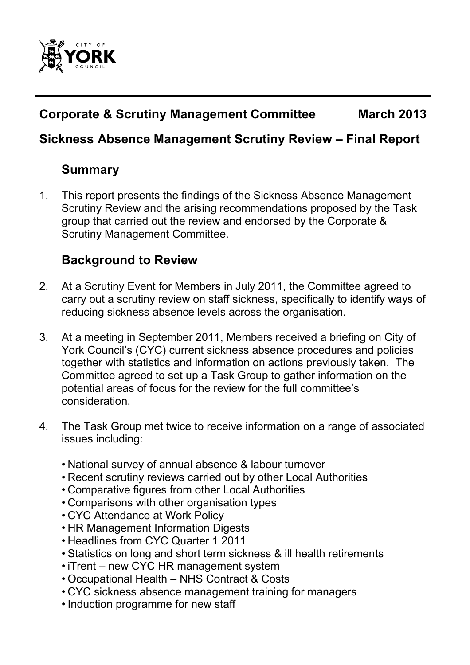

# **Corporate & Scrutiny Management Committee March 2013**

## **Sickness Absence Management Scrutiny Review – Final Report**

# **Summary**

1. This report presents the findings of the Sickness Absence Management Scrutiny Review and the arising recommendations proposed by the Task group that carried out the review and endorsed by the Corporate & Scrutiny Management Committee.

# **Background to Review**

- 2. At a Scrutiny Event for Members in July 2011, the Committee agreed to carry out a scrutiny review on staff sickness, specifically to identify ways of reducing sickness absence levels across the organisation.
- 3. At a meeting in September 2011, Members received a briefing on City of York Council's (CYC) current sickness absence procedures and policies together with statistics and information on actions previously taken. The Committee agreed to set up a Task Group to gather information on the potential areas of focus for the review for the full committee's consideration.
- 4. The Task Group met twice to receive information on a range of associated issues including:
	- National survey of annual absence & labour turnover
	- Recent scrutiny reviews carried out by other Local Authorities
	- Comparative figures from other Local Authorities
	- Comparisons with other organisation types
	- CYC Attendance at Work Policy
	- HR Management Information Digests
	- Headlines from CYC Quarter 1 2011
	- Statistics on long and short term sickness & ill health retirements
	- iTrent new CYC HR management system
	- Occupational Health NHS Contract & Costs
	- CYC sickness absence management training for managers
	- Induction programme for new staff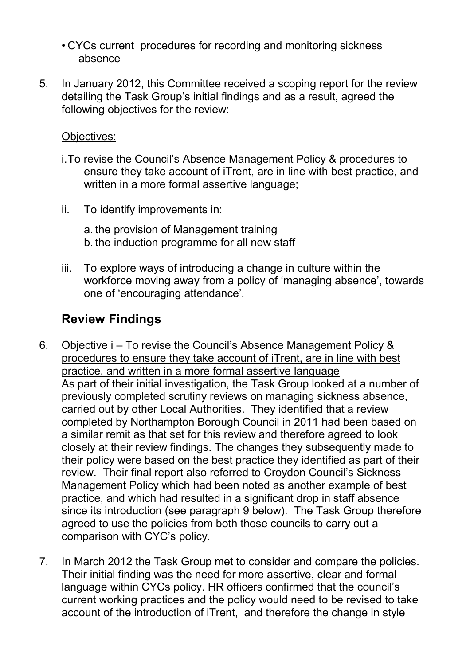• CYCs current procedures for recording and monitoring sickness absence

5. In January 2012, this Committee received a scoping report for the review detailing the Task Group's initial findings and as a result, agreed the following objectives for the review:

#### Objectives:

- i. To revise the Council's Absence Management Policy & procedures to ensure they take account of iTrent, are in line with best practice, and written in a more formal assertive language;
- ii. To identify improvements in:
	- a. the provision of Management training b. the induction programme for all new staff
- iii. To explore ways of introducing a change in culture within the workforce moving away from a policy of 'managing absence', towards one of 'encouraging attendance'.

### **Review Findings**

- 6. Objective i To revise the Council's Absence Management Policy & procedures to ensure they take account of iTrent, are in line with best practice, and written in a more formal assertive language As part of their initial investigation, the Task Group looked at a number of previously completed scrutiny reviews on managing sickness absence, carried out by other Local Authorities. They identified that a review completed by Northampton Borough Council in 2011 had been based on a similar remit as that set for this review and therefore agreed to look closely at their review findings. The changes they subsequently made to their policy were based on the best practice they identified as part of their review. Their final report also referred to Croydon Council's Sickness Management Policy which had been noted as another example of best practice, and which had resulted in a significant drop in staff absence since its introduction (see paragraph 9 below). The Task Group therefore agreed to use the policies from both those councils to carry out a comparison with CYC's policy.
- 7. In March 2012 the Task Group met to consider and compare the policies. Their initial finding was the need for more assertive, clear and formal language within CYCs policy. HR officers confirmed that the council's current working practices and the policy would need to be revised to take account of the introduction of iTrent, and therefore the change in style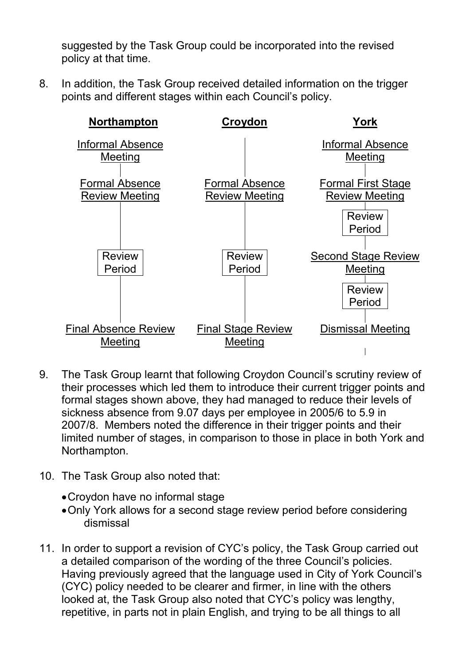suggested by the Task Group could be incorporated into the revised policy at that time.

8. In addition, the Task Group received detailed information on the trigger points and different stages within each Council's policy.



- 9. The Task Group learnt that following Croydon Council's scrutiny review of their processes which led them to introduce their current trigger points and formal stages shown above, they had managed to reduce their levels of sickness absence from 9.07 days per employee in 2005/6 to 5.9 in 2007/8. Members noted the difference in their trigger points and their limited number of stages, in comparison to those in place in both York and Northampton.
- 10. The Task Group also noted that:
	- Croydon have no informal stage
	- Only York allows for a second stage review period before considering dismissal
- 11. In order to support a revision of CYC's policy, the Task Group carried out a detailed comparison of the wording of the three Council's policies. Having previously agreed that the language used in City of York Council's (CYC) policy needed to be clearer and firmer, in line with the others looked at, the Task Group also noted that CYC's policy was lengthy, repetitive, in parts not in plain English, and trying to be all things to all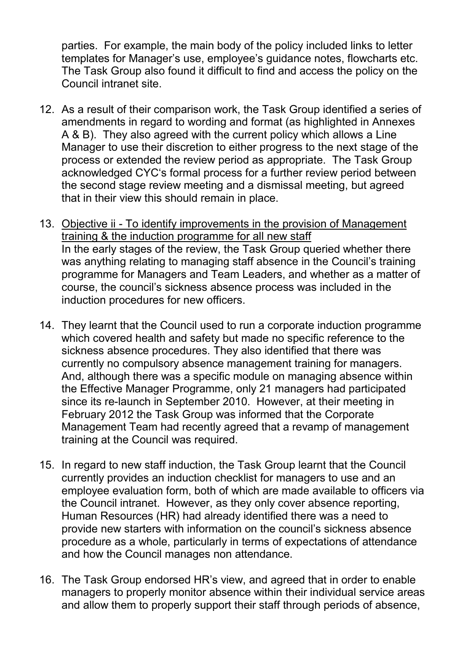parties. For example, the main body of the policy included links to letter templates for Manager's use, employee's guidance notes, flowcharts etc. The Task Group also found it difficult to find and access the policy on the Council intranet site.

- 12. As a result of their comparison work, the Task Group identified a series of amendments in regard to wording and format (as highlighted in Annexes A & B). They also agreed with the current policy which allows a Line Manager to use their discretion to either progress to the next stage of the process or extended the review period as appropriate. The Task Group acknowledged CYC's formal process for a further review period between the second stage review meeting and a dismissal meeting, but agreed that in their view this should remain in place.
- 13. Objective ii To identify improvements in the provision of Management training & the induction programme for all new staff In the early stages of the review, the Task Group queried whether there was anything relating to managing staff absence in the Council's training programme for Managers and Team Leaders, and whether as a matter of course, the council's sickness absence process was included in the induction procedures for new officers.
- 14. They learnt that the Council used to run a corporate induction programme which covered health and safety but made no specific reference to the sickness absence procedures. They also identified that there was currently no compulsory absence management training for managers. And, although there was a specific module on managing absence within the Effective Manager Programme, only 21 managers had participated since its re-launch in September 2010. However, at their meeting in February 2012 the Task Group was informed that the Corporate Management Team had recently agreed that a revamp of management training at the Council was required.
- 15. In regard to new staff induction, the Task Group learnt that the Council currently provides an induction checklist for managers to use and an employee evaluation form, both of which are made available to officers via the Council intranet. However, as they only cover absence reporting, Human Resources (HR) had already identified there was a need to provide new starters with information on the council's sickness absence procedure as a whole, particularly in terms of expectations of attendance and how the Council manages non attendance.
- 16. The Task Group endorsed HR's view, and agreed that in order to enable managers to properly monitor absence within their individual service areas and allow them to properly support their staff through periods of absence,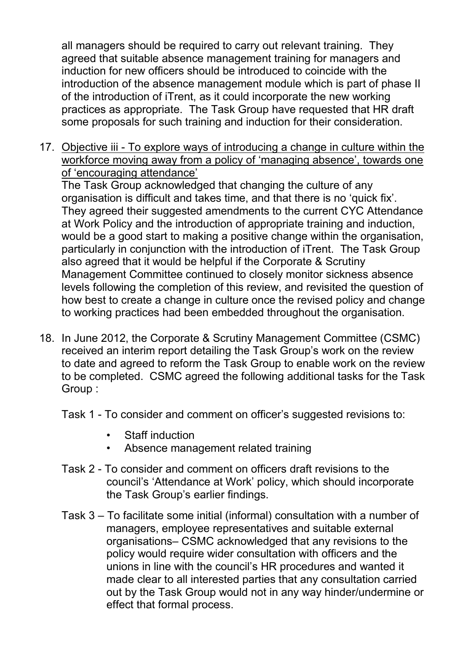all managers should be required to carry out relevant training. They agreed that suitable absence management training for managers and induction for new officers should be introduced to coincide with the introduction of the absence management module which is part of phase II of the introduction of iTrent, as it could incorporate the new working practices as appropriate. The Task Group have requested that HR draft some proposals for such training and induction for their consideration.

17. Objective iii - To explore ways of introducing a change in culture within the workforce moving away from a policy of 'managing absence', towards one of 'encouraging attendance'

 The Task Group acknowledged that changing the culture of any organisation is difficult and takes time, and that there is no 'quick fix'. They agreed their suggested amendments to the current CYC Attendance at Work Policy and the introduction of appropriate training and induction, would be a good start to making a positive change within the organisation, particularly in conjunction with the introduction of iTrent. The Task Group also agreed that it would be helpful if the Corporate & Scrutiny Management Committee continued to closely monitor sickness absence levels following the completion of this review, and revisited the question of how best to create a change in culture once the revised policy and change to working practices had been embedded throughout the organisation.

- 18. In June 2012, the Corporate & Scrutiny Management Committee (CSMC) received an interim report detailing the Task Group's work on the review to date and agreed to reform the Task Group to enable work on the review to be completed. CSMC agreed the following additional tasks for the Task Group :
	- Task 1 To consider and comment on officer's suggested revisions to:
		- Staff induction
		- Absence management related training
	- Task 2 To consider and comment on officers draft revisions to the council's 'Attendance at Work' policy, which should incorporate the Task Group's earlier findings.
	- Task 3 To facilitate some initial (informal) consultation with a number of managers, employee representatives and suitable external organisations– CSMC acknowledged that any revisions to the policy would require wider consultation with officers and the unions in line with the council's HR procedures and wanted it made clear to all interested parties that any consultation carried out by the Task Group would not in any way hinder/undermine or effect that formal process.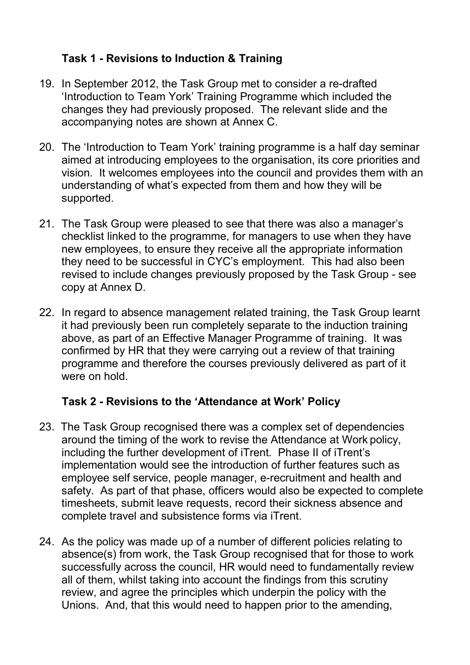#### **Task 1 - Revisions to Induction & Training**

- 19. In September 2012, the Task Group met to consider a re-drafted 'Introduction to Team York' Training Programme which included the changes they had previously proposed. The relevant slide and the accompanying notes are shown at Annex C.
- 20. The 'Introduction to Team York' training programme is a half day seminar aimed at introducing employees to the organisation, its core priorities and vision. It welcomes employees into the council and provides them with an understanding of what's expected from them and how they will be supported.
- 21. The Task Group were pleased to see that there was also a manager's checklist linked to the programme, for managers to use when they have new employees, to ensure they receive all the appropriate information they need to be successful in CYC's employment. This had also been revised to include changes previously proposed by the Task Group - see copy at Annex D.
- 22. In regard to absence management related training, the Task Group learnt it had previously been run completely separate to the induction training above, as part of an Effective Manager Programme of training. It was confirmed by HR that they were carrying out a review of that training programme and therefore the courses previously delivered as part of it were on hold.

#### **Task 2 - Revisions to the 'Attendance at Work' Policy**

- 23. The Task Group recognised there was a complex set of dependencies around the timing of the work to revise the Attendance at Work policy, including the further development of iTrent. Phase II of iTrent's implementation would see the introduction of further features such as employee self service, people manager, e-recruitment and health and safety. As part of that phase, officers would also be expected to complete timesheets, submit leave requests, record their sickness absence and complete travel and subsistence forms via iTrent.
- 24. As the policy was made up of a number of different policies relating to absence(s) from work, the Task Group recognised that for those to work successfully across the council, HR would need to fundamentally review all of them, whilst taking into account the findings from this scrutiny review, and agree the principles which underpin the policy with the Unions. And, that this would need to happen prior to the amending,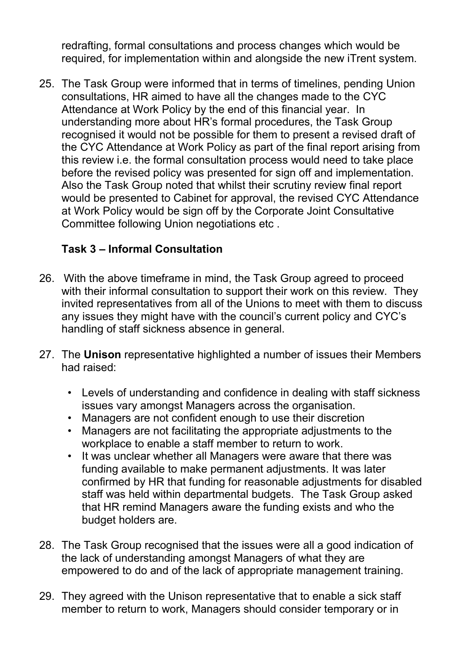redrafting, formal consultations and process changes which would be required, for implementation within and alongside the new iTrent system.

25. The Task Group were informed that in terms of timelines, pending Union consultations, HR aimed to have all the changes made to the CYC Attendance at Work Policy by the end of this financial year. In understanding more about HR's formal procedures, the Task Group recognised it would not be possible for them to present a revised draft of the CYC Attendance at Work Policy as part of the final report arising from this review i.e. the formal consultation process would need to take place before the revised policy was presented for sign off and implementation. Also the Task Group noted that whilst their scrutiny review final report would be presented to Cabinet for approval, the revised CYC Attendance at Work Policy would be sign off by the Corporate Joint Consultative Committee following Union negotiations etc .

### **Task 3 – Informal Consultation**

- 26. With the above timeframe in mind, the Task Group agreed to proceed with their informal consultation to support their work on this review. They invited representatives from all of the Unions to meet with them to discuss any issues they might have with the council's current policy and CYC's handling of staff sickness absence in general.
- 27. The **Unison** representative highlighted a number of issues their Members had raised:
	- Levels of understanding and confidence in dealing with staff sickness issues vary amongst Managers across the organisation.
	- Managers are not confident enough to use their discretion
	- Managers are not facilitating the appropriate adjustments to the workplace to enable a staff member to return to work.
	- It was unclear whether all Managers were aware that there was funding available to make permanent adjustments. It was later confirmed by HR that funding for reasonable adjustments for disabled staff was held within departmental budgets. The Task Group asked that HR remind Managers aware the funding exists and who the budget holders are.
- 28. The Task Group recognised that the issues were all a good indication of the lack of understanding amongst Managers of what they are empowered to do and of the lack of appropriate management training.
- 29. They agreed with the Unison representative that to enable a sick staff member to return to work, Managers should consider temporary or in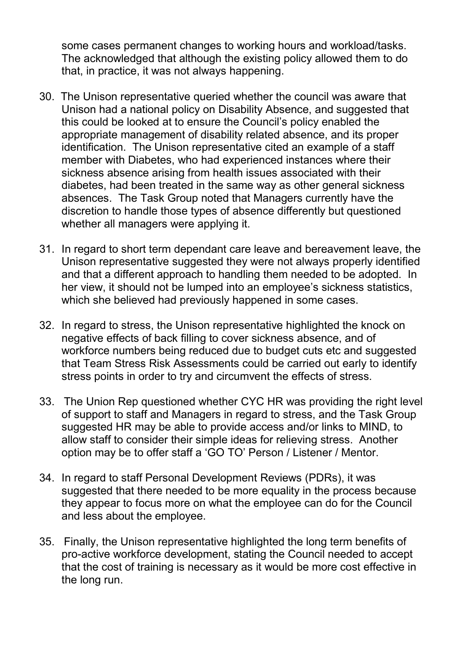some cases permanent changes to working hours and workload/tasks. The acknowledged that although the existing policy allowed them to do that, in practice, it was not always happening.

- 30. The Unison representative queried whether the council was aware that Unison had a national policy on Disability Absence, and suggested that this could be looked at to ensure the Council's policy enabled the appropriate management of disability related absence, and its proper identification. The Unison representative cited an example of a staff member with Diabetes, who had experienced instances where their sickness absence arising from health issues associated with their diabetes, had been treated in the same way as other general sickness absences. The Task Group noted that Managers currently have the discretion to handle those types of absence differently but questioned whether all managers were applying it.
- 31. In regard to short term dependant care leave and bereavement leave, the Unison representative suggested they were not always properly identified and that a different approach to handling them needed to be adopted. In her view, it should not be lumped into an employee's sickness statistics, which she believed had previously happened in some cases.
- 32. In regard to stress, the Unison representative highlighted the knock on negative effects of back filling to cover sickness absence, and of workforce numbers being reduced due to budget cuts etc and suggested that Team Stress Risk Assessments could be carried out early to identify stress points in order to try and circumvent the effects of stress.
- 33. The Union Rep questioned whether CYC HR was providing the right level of support to staff and Managers in regard to stress, and the Task Group suggested HR may be able to provide access and/or links to MIND, to allow staff to consider their simple ideas for relieving stress. Another option may be to offer staff a 'GO TO' Person / Listener / Mentor.
- 34. In regard to staff Personal Development Reviews (PDRs), it was suggested that there needed to be more equality in the process because they appear to focus more on what the employee can do for the Council and less about the employee.
- 35. Finally, the Unison representative highlighted the long term benefits of pro-active workforce development, stating the Council needed to accept that the cost of training is necessary as it would be more cost effective in the long run.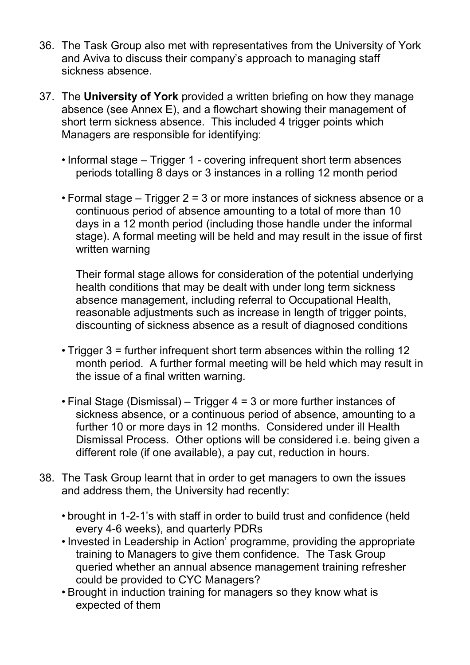- 36. The Task Group also met with representatives from the University of York and Aviva to discuss their company's approach to managing staff sickness absence.
- 37. The **University of York** provided a written briefing on how they manage absence (see Annex E), and a flowchart showing their management of short term sickness absence. This included 4 trigger points which Managers are responsible for identifying:
	- Informal stage Trigger 1 covering infrequent short term absences periods totalling 8 days or 3 instances in a rolling 12 month period
	- Formal stage Trigger 2 = 3 or more instances of sickness absence or a continuous period of absence amounting to a total of more than 10 days in a 12 month period (including those handle under the informal stage). A formal meeting will be held and may result in the issue of first written warning

Their formal stage allows for consideration of the potential underlying health conditions that may be dealt with under long term sickness absence management, including referral to Occupational Health, reasonable adjustments such as increase in length of trigger points, discounting of sickness absence as a result of diagnosed conditions

- Trigger 3 = further infrequent short term absences within the rolling 12 month period. A further formal meeting will be held which may result in the issue of a final written warning.
- Final Stage (Dismissal) Trigger 4 = 3 or more further instances of sickness absence, or a continuous period of absence, amounting to a further 10 or more days in 12 months. Considered under ill Health Dismissal Process. Other options will be considered i.e. being given a different role (if one available), a pay cut, reduction in hours.
- 38. The Task Group learnt that in order to get managers to own the issues and address them, the University had recently:
	- brought in 1-2-1's with staff in order to build trust and confidence (held every 4-6 weeks), and quarterly PDRs
	- Invested in Leadership in Action' programme, providing the appropriate training to Managers to give them confidence. The Task Group queried whether an annual absence management training refresher could be provided to CYC Managers?
	- Brought in induction training for managers so they know what is expected of them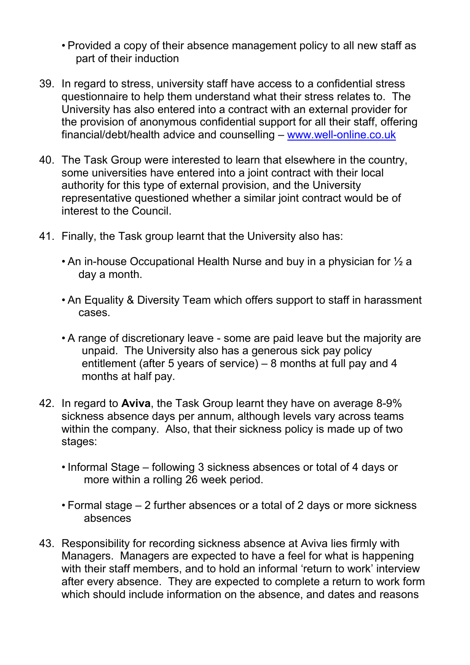- Provided a copy of their absence management policy to all new staff as part of their induction
- 39. In regard to stress, university staff have access to a confidential stress questionnaire to help them understand what their stress relates to. The University has also entered into a contract with an external provider for the provision of anonymous confidential support for all their staff, offering financial/debt/health advice and counselling – www.well-online.co.uk
- 40. The Task Group were interested to learn that elsewhere in the country, some universities have entered into a joint contract with their local authority for this type of external provision, and the University representative questioned whether a similar joint contract would be of interest to the Council.
- 41. Finally, the Task group learnt that the University also has:
	- An in-house Occupational Health Nurse and buy in a physician for ½ a day a month.
	- An Equality & Diversity Team which offers support to staff in harassment cases.
	- A range of discretionary leave some are paid leave but the majority are unpaid. The University also has a generous sick pay policy entitlement (after 5 years of service) – 8 months at full pay and 4 months at half pay.
- 42. In regard to **Aviva**, the Task Group learnt they have on average 8-9% sickness absence days per annum, although levels vary across teams within the company. Also, that their sickness policy is made up of two stages:
	- Informal Stage following 3 sickness absences or total of 4 days or more within a rolling 26 week period.
	- Formal stage 2 further absences or a total of 2 days or more sickness absences
- 43. Responsibility for recording sickness absence at Aviva lies firmly with Managers. Managers are expected to have a feel for what is happening with their staff members, and to hold an informal 'return to work' interview after every absence. They are expected to complete a return to work form which should include information on the absence, and dates and reasons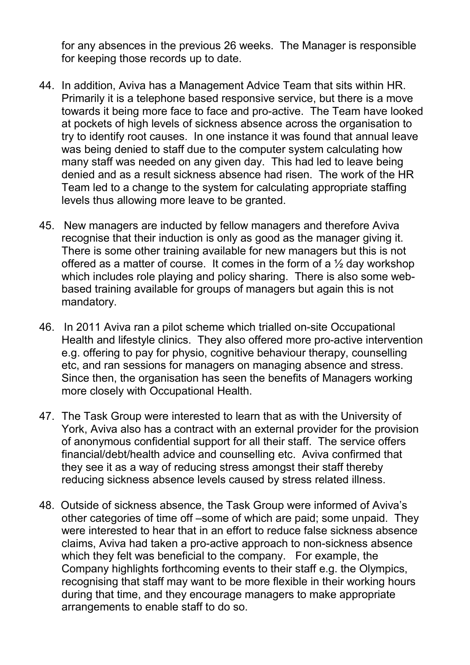for any absences in the previous 26 weeks. The Manager is responsible for keeping those records up to date.

- 44. In addition, Aviva has a Management Advice Team that sits within HR. Primarily it is a telephone based responsive service, but there is a move towards it being more face to face and pro-active. The Team have looked at pockets of high levels of sickness absence across the organisation to try to identify root causes. In one instance it was found that annual leave was being denied to staff due to the computer system calculating how many staff was needed on any given day. This had led to leave being denied and as a result sickness absence had risen. The work of the HR Team led to a change to the system for calculating appropriate staffing levels thus allowing more leave to be granted.
- 45. New managers are inducted by fellow managers and therefore Aviva recognise that their induction is only as good as the manager giving it. There is some other training available for new managers but this is not offered as a matter of course. It comes in the form of a  $\frac{1}{2}$  day workshop which includes role playing and policy sharing. There is also some webbased training available for groups of managers but again this is not mandatory.
- 46. In 2011 Aviva ran a pilot scheme which trialled on-site Occupational Health and lifestyle clinics. They also offered more pro-active intervention e.g. offering to pay for physio, cognitive behaviour therapy, counselling etc, and ran sessions for managers on managing absence and stress. Since then, the organisation has seen the benefits of Managers working more closely with Occupational Health.
- 47. The Task Group were interested to learn that as with the University of York, Aviva also has a contract with an external provider for the provision of anonymous confidential support for all their staff. The service offers financial/debt/health advice and counselling etc. Aviva confirmed that they see it as a way of reducing stress amongst their staff thereby reducing sickness absence levels caused by stress related illness.
- 48. Outside of sickness absence, the Task Group were informed of Aviva's other categories of time off –some of which are paid; some unpaid. They were interested to hear that in an effort to reduce false sickness absence claims, Aviva had taken a pro-active approach to non-sickness absence which they felt was beneficial to the company. For example, the Company highlights forthcoming events to their staff e.g. the Olympics, recognising that staff may want to be more flexible in their working hours during that time, and they encourage managers to make appropriate arrangements to enable staff to do so.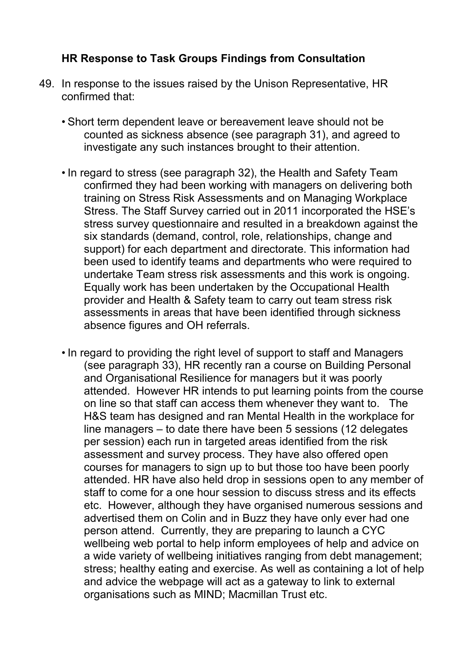#### **HR Response to Task Groups Findings from Consultation**

- 49. In response to the issues raised by the Unison Representative, HR confirmed that:
	- Short term dependent leave or bereavement leave should not be counted as sickness absence (see paragraph 31), and agreed to investigate any such instances brought to their attention.
	- In regard to stress (see paragraph 32), the Health and Safety Team confirmed they had been working with managers on delivering both training on Stress Risk Assessments and on Managing Workplace Stress. The Staff Survey carried out in 2011 incorporated the HSE's stress survey questionnaire and resulted in a breakdown against the six standards (demand, control, role, relationships, change and support) for each department and directorate. This information had been used to identify teams and departments who were required to undertake Team stress risk assessments and this work is ongoing. Equally work has been undertaken by the Occupational Health provider and Health & Safety team to carry out team stress risk assessments in areas that have been identified through sickness absence figures and OH referrals.
	- In regard to providing the right level of support to staff and Managers (see paragraph 33), HR recently ran a course on Building Personal and Organisational Resilience for managers but it was poorly attended. However HR intends to put learning points from the course on line so that staff can access them whenever they want to. The H&S team has designed and ran Mental Health in the workplace for line managers – to date there have been 5 sessions (12 delegates per session) each run in targeted areas identified from the risk assessment and survey process. They have also offered open courses for managers to sign up to but those too have been poorly attended. HR have also held drop in sessions open to any member of staff to come for a one hour session to discuss stress and its effects etc. However, although they have organised numerous sessions and advertised them on Colin and in Buzz they have only ever had one person attend. Currently, they are preparing to launch a CYC wellbeing web portal to help inform employees of help and advice on a wide variety of wellbeing initiatives ranging from debt management; stress; healthy eating and exercise. As well as containing a lot of help and advice the webpage will act as a gateway to link to external organisations such as MIND; Macmillan Trust etc.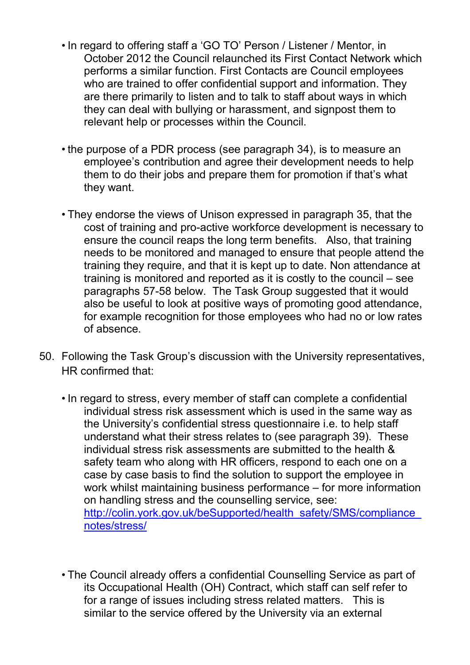- In regard to offering staff a 'GO TO' Person / Listener / Mentor, in October 2012 the Council relaunched its First Contact Network which performs a similar function. First Contacts are Council employees who are trained to offer confidential support and information. They are there primarily to listen and to talk to staff about ways in which they can deal with bullying or harassment, and signpost them to relevant help or processes within the Council.
- the purpose of a PDR process (see paragraph 34), is to measure an employee's contribution and agree their development needs to help them to do their jobs and prepare them for promotion if that's what they want.
- They endorse the views of Unison expressed in paragraph 35, that the cost of training and pro-active workforce development is necessary to ensure the council reaps the long term benefits. Also, that training needs to be monitored and managed to ensure that people attend the training they require, and that it is kept up to date. Non attendance at training is monitored and reported as it is costly to the council – see paragraphs 57-58 below. The Task Group suggested that it would also be useful to look at positive ways of promoting good attendance, for example recognition for those employees who had no or low rates of absence.
- 50. Following the Task Group's discussion with the University representatives, HR confirmed that:
	- In regard to stress, every member of staff can complete a confidential individual stress risk assessment which is used in the same way as the University's confidential stress questionnaire i.e. to help staff understand what their stress relates to (see paragraph 39). These individual stress risk assessments are submitted to the health & safety team who along with HR officers, respond to each one on a case by case basis to find the solution to support the employee in work whilst maintaining business performance – for more information on handling stress and the counselling service, see: http://colin.york.gov.uk/beSupported/health\_safety/SMS/compliance\_ notes/stress/
	- The Council already offers a confidential Counselling Service as part of its Occupational Health (OH) Contract, which staff can self refer to for a range of issues including stress related matters. This is similar to the service offered by the University via an external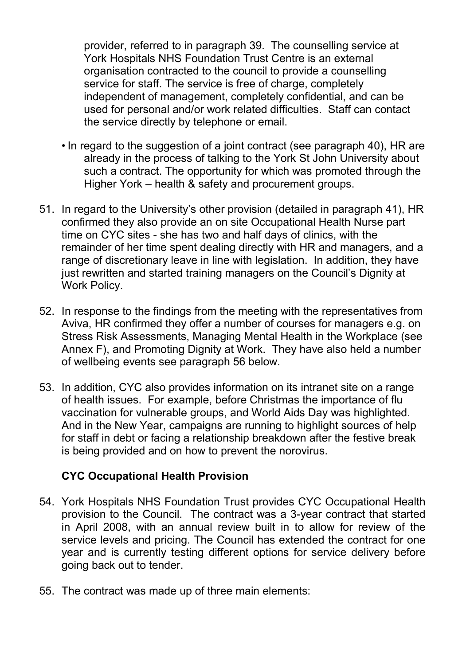provider, referred to in paragraph 39. The counselling service at York Hospitals NHS Foundation Trust Centre is an external organisation contracted to the council to provide a counselling service for staff. The service is free of charge, completely independent of management, completely confidential, and can be used for personal and/or work related difficulties. Staff can contact the service directly by telephone or email.

- In regard to the suggestion of a joint contract (see paragraph 40), HR are already in the process of talking to the York St John University about such a contract. The opportunity for which was promoted through the Higher York – health & safety and procurement groups.
- 51. In regard to the University's other provision (detailed in paragraph 41), HR confirmed they also provide an on site Occupational Health Nurse part time on CYC sites - she has two and half days of clinics, with the remainder of her time spent dealing directly with HR and managers, and a range of discretionary leave in line with legislation. In addition, they have just rewritten and started training managers on the Council's Dignity at Work Policy.
- 52. In response to the findings from the meeting with the representatives from Aviva, HR confirmed they offer a number of courses for managers e.g. on Stress Risk Assessments, Managing Mental Health in the Workplace (see Annex F), and Promoting Dignity at Work. They have also held a number of wellbeing events see paragraph 56 below.
- 53. In addition, CYC also provides information on its intranet site on a range of health issues. For example, before Christmas the importance of flu vaccination for vulnerable groups, and World Aids Day was highlighted. And in the New Year, campaigns are running to highlight sources of help for staff in debt or facing a relationship breakdown after the festive break is being provided and on how to prevent the norovirus.

#### **CYC Occupational Health Provision**

- 54. York Hospitals NHS Foundation Trust provides CYC Occupational Health provision to the Council. The contract was a 3-year contract that started in April 2008, with an annual review built in to allow for review of the service levels and pricing. The Council has extended the contract for one year and is currently testing different options for service delivery before going back out to tender.
- 55. The contract was made up of three main elements: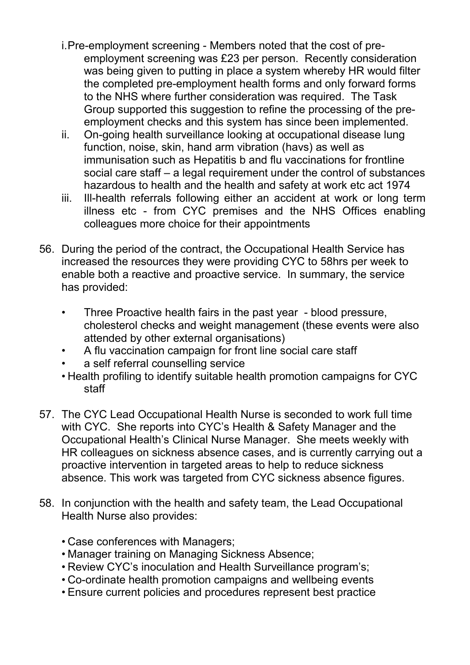- i. Pre-employment screening Members noted that the cost of preemployment screening was £23 per person. Recently consideration was being given to putting in place a system whereby HR would filter the completed pre-employment health forms and only forward forms to the NHS where further consideration was required. The Task Group supported this suggestion to refine the processing of the preemployment checks and this system has since been implemented.
- ii. On-going health surveillance looking at occupational disease lung function, noise, skin, hand arm vibration (havs) as well as immunisation such as Hepatitis b and flu vaccinations for frontline social care staff – a legal requirement under the control of substances hazardous to health and the health and safety at work etc act 1974
- iii. Ill-health referrals following either an accident at work or long term illness etc - from CYC premises and the NHS Offices enabling colleagues more choice for their appointments
- 56. During the period of the contract, the Occupational Health Service has increased the resources they were providing CYC to 58hrs per week to enable both a reactive and proactive service. In summary, the service has provided:
	- Three Proactive health fairs in the past year blood pressure, cholesterol checks and weight management (these events were also attended by other external organisations)
	- A flu vaccination campaign for front line social care staff
	- a self referral counselling service
	- Health profiling to identify suitable health promotion campaigns for CYC staff
- 57. The CYC Lead Occupational Health Nurse is seconded to work full time with CYC. She reports into CYC's Health & Safety Manager and the Occupational Health's Clinical Nurse Manager. She meets weekly with HR colleagues on sickness absence cases, and is currently carrying out a proactive intervention in targeted areas to help to reduce sickness absence. This work was targeted from CYC sickness absence figures.
- 58. In conjunction with the health and safety team, the Lead Occupational Health Nurse also provides:
	- Case conferences with Managers;
	- Manager training on Managing Sickness Absence;
	- Review CYC's inoculation and Health Surveillance program's;
	- Co-ordinate health promotion campaigns and wellbeing events
	- Ensure current policies and procedures represent best practice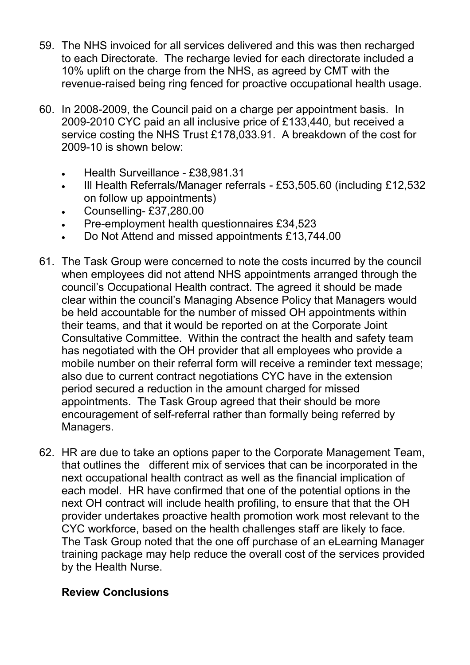- 59. The NHS invoiced for all services delivered and this was then recharged to each Directorate. The recharge levied for each directorate included a 10% uplift on the charge from the NHS, as agreed by CMT with the revenue-raised being ring fenced for proactive occupational health usage.
- 60. In 2008-2009, the Council paid on a charge per appointment basis. In 2009-2010 CYC paid an all inclusive price of £133,440, but received a service costing the NHS Trust £178,033.91. A breakdown of the cost for 2009-10 is shown below:
	- Health Surveillance £38,981.31
	- III Health Referrals/Manager referrals £53,505.60 (including £12,532) on follow up appointments)
	- Counselling- £37,280.00
	- Pre-employment health questionnaires £34,523
	- Do Not Attend and missed appointments £13,744.00
- 61. The Task Group were concerned to note the costs incurred by the council when employees did not attend NHS appointments arranged through the council's Occupational Health contract. The agreed it should be made clear within the council's Managing Absence Policy that Managers would be held accountable for the number of missed OH appointments within their teams, and that it would be reported on at the Corporate Joint Consultative Committee. Within the contract the health and safety team has negotiated with the OH provider that all employees who provide a mobile number on their referral form will receive a reminder text message; also due to current contract negotiations CYC have in the extension period secured a reduction in the amount charged for missed appointments. The Task Group agreed that their should be more encouragement of self-referral rather than formally being referred by Managers.
- 62. HR are due to take an options paper to the Corporate Management Team, that outlines the different mix of services that can be incorporated in the next occupational health contract as well as the financial implication of each model. HR have confirmed that one of the potential options in the next OH contract will include health profiling, to ensure that that the OH provider undertakes proactive health promotion work most relevant to the CYC workforce, based on the health challenges staff are likely to face. The Task Group noted that the one off purchase of an eLearning Manager training package may help reduce the overall cost of the services provided by the Health Nurse.

#### **Review Conclusions**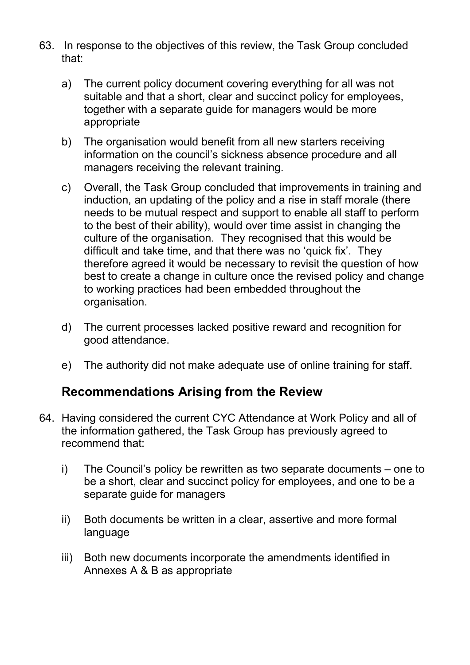- 63. In response to the objectives of this review, the Task Group concluded that:
	- a) The current policy document covering everything for all was not suitable and that a short, clear and succinct policy for employees, together with a separate guide for managers would be more appropriate
	- b) The organisation would benefit from all new starters receiving information on the council's sickness absence procedure and all managers receiving the relevant training.
	- c) Overall, the Task Group concluded that improvements in training and induction, an updating of the policy and a rise in staff morale (there needs to be mutual respect and support to enable all staff to perform to the best of their ability), would over time assist in changing the culture of the organisation. They recognised that this would be difficult and take time, and that there was no 'quick fix'. They therefore agreed it would be necessary to revisit the question of how best to create a change in culture once the revised policy and change to working practices had been embedded throughout the organisation.
	- d) The current processes lacked positive reward and recognition for good attendance.
	- e) The authority did not make adequate use of online training for staff.

### **Recommendations Arising from the Review**

- 64. Having considered the current CYC Attendance at Work Policy and all of the information gathered, the Task Group has previously agreed to recommend that:
	- i) The Council's policy be rewritten as two separate documents one to be a short, clear and succinct policy for employees, and one to be a separate guide for managers
	- ii) Both documents be written in a clear, assertive and more formal language
	- iii) Both new documents incorporate the amendments identified in Annexes A & B as appropriate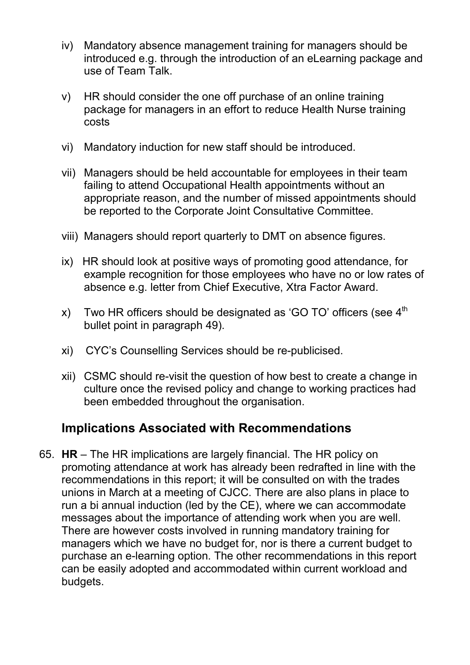- iv) Mandatory absence management training for managers should be introduced e.g. through the introduction of an eLearning package and use of Team Talk.
- v) HR should consider the one off purchase of an online training package for managers in an effort to reduce Health Nurse training costs
- vi) Mandatory induction for new staff should be introduced.
- vii) Managers should be held accountable for employees in their team failing to attend Occupational Health appointments without an appropriate reason, and the number of missed appointments should be reported to the Corporate Joint Consultative Committee.
- viii) Managers should report quarterly to DMT on absence figures.
- ix) HR should look at positive ways of promoting good attendance, for example recognition for those employees who have no or low rates of absence e.g. letter from Chief Executive, Xtra Factor Award.
- x) Two HR officers should be designated as 'GO TO' officers (see  $4<sup>th</sup>$ bullet point in paragraph 49).
- xi) CYC's Counselling Services should be re-publicised.
- xii) CSMC should re-visit the question of how best to create a change in culture once the revised policy and change to working practices had been embedded throughout the organisation.

### **Implications Associated with Recommendations**

65. **HR** – The HR implications are largely financial. The HR policy on promoting attendance at work has already been redrafted in line with the recommendations in this report; it will be consulted on with the trades unions in March at a meeting of CJCC. There are also plans in place to run a bi annual induction (led by the CE), where we can accommodate messages about the importance of attending work when you are well. There are however costs involved in running mandatory training for managers which we have no budget for, nor is there a current budget to purchase an e-learning option. The other recommendations in this report can be easily adopted and accommodated within current workload and budgets.